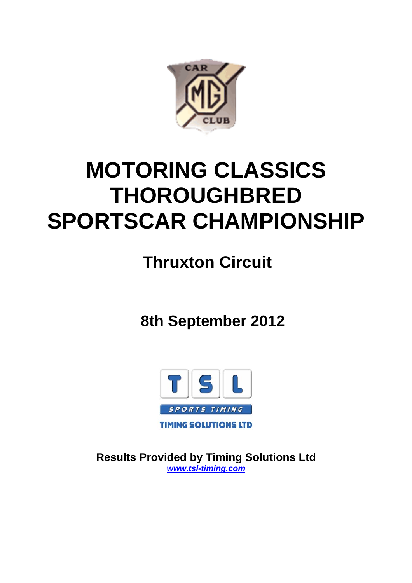

# **MOTORING CLASSICS THOROUGHBRED SPORTSCAR CHAMPIONSHIP**

 **Thruxton Circuit**

 **8th September 2012**



**Results Provided by Timing Solutions Ltd**  *www.tsl-timing.com*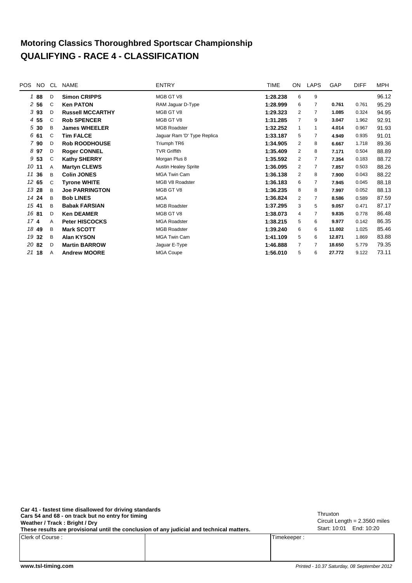#### **Motoring Classics Thoroughbred Sportscar Championship QUALIFYING - RACE 4 - CLASSIFICATION**

| <b>POS</b>      | NO.   | CL           | <b>NAME</b>             | <b>ENTRY</b>                | <b>TIME</b> | ON             | <b>LAPS</b>    | GAP    | <b>DIFF</b> | <b>MPH</b> |
|-----------------|-------|--------------|-------------------------|-----------------------------|-------------|----------------|----------------|--------|-------------|------------|
|                 | 88    | D            | <b>Simon CRIPPS</b>     | MGB GT V8                   | 1:28.238    | 6              | 9              |        |             | 96.12      |
|                 | 256   | $\mathsf{C}$ | <b>Ken PATON</b>        | RAM Jaguar D-Type           | 1:28.999    | 6              | $\overline{7}$ | 0.761  | 0.761       | 95.29      |
|                 | 393   | D            | <b>Russell MCCARTHY</b> | MGB GT V8                   | 1:29.323    | 2              | 7              | 1.085  | 0.324       | 94.95      |
|                 | 4 55  | $\mathsf{C}$ | <b>Rob SPENCER</b>      | MGB GT V8                   | 1:31.285    | $\overline{7}$ | 9              | 3.047  | 1.962       | 92.91      |
| 5               | 30    | B            | <b>James WHEELER</b>    | <b>MGB Roadster</b>         | 1:32.252    | $\mathbf{1}$   | 1              | 4.014  | 0.967       | 91.93      |
|                 | 6 61  | C            | <b>Tim FALCE</b>        | Jaguar Ram 'D' Type Replica | 1:33.187    | 5              | 7              | 4.949  | 0.935       | 91.01      |
|                 | 7 90  | D            | <b>Rob ROODHOUSE</b>    | Triumph TR6                 | 1:34.905    | 2              | 8              | 6.667  | 1.718       | 89.36      |
|                 | 8 97  | D            | <b>Roger CONNEL</b>     | <b>TVR Griffith</b>         | 1:35.409    | 2              | 8              | 7.171  | 0.504       | 88.89      |
|                 | 9 53  | C            | <b>Kathy SHERRY</b>     | Morgan Plus 8               | 1:35.592    | 2              | 7              | 7.354  | 0.183       | 88.72      |
|                 | 1011  | A            | <b>Martyn CLEWS</b>     | <b>Austin Healey Sprite</b> | 1:36.095    | 2              | $\overline{7}$ | 7.857  | 0.503       | 88.26      |
|                 | 11 36 | B            | <b>Colin JONES</b>      | <b>MGA Twin Cam</b>         | 1:36.138    | 2              | 8              | 7.900  | 0.043       | 88.22      |
|                 | 12 65 | C            | <b>Tyrone WHITE</b>     | MGB V8 Roadster             | 1:36.183    | 6              | 7              | 7.945  | 0.045       | 88.18      |
|                 | 13 28 | B            | <b>Joe PARRINGTON</b>   | MGB GT V8                   | 1:36.235    | 8              | 8              | 7.997  | 0.052       | 88.13      |
|                 | 14 24 | B            | <b>Bob LINES</b>        | <b>MGA</b>                  | 1:36.824    | 2              | 7              | 8.586  | 0.589       | 87.59      |
|                 | 1541  | B            | <b>Babak FARSIAN</b>    | <b>MGB Roadster</b>         | 1:37.295    | 3              | 5              | 9.057  | 0.471       | 87.17      |
|                 | 16 81 | D            | <b>Ken DEAMER</b>       | MGB GT V8                   | 1:38.073    | 4              | 7              | 9.835  | 0.778       | 86.48      |
| 17 <sub>4</sub> |       | A            | <b>Peter HISCOCKS</b>   | <b>MGA Roadster</b>         | 1:38.215    | 5              | 6              | 9.977  | 0.142       | 86.35      |
|                 | 18 49 | B            | <b>Mark SCOTT</b>       | <b>MGB Roadster</b>         | 1:39.240    | 6              | 6              | 11.002 | 1.025       | 85.46      |
|                 | 19 32 | B            | <b>Alan KYSON</b>       | <b>MGA Twin Cam</b>         | 1:41.109    | 5              | 6              | 12.871 | 1.869       | 83.88      |
|                 | 20 82 | D            | <b>Martin BARROW</b>    | Jaguar E-Type               | 1:46.888    | $\overline{7}$ | 7              | 18.650 | 5.779       | 79.35      |
| 21              | 18    | A            | <b>Andrew MOORE</b>     | <b>MGA Coupe</b>            | 1:56.010    | 5              | 6              | 27.772 | 9.122       | 73.11      |
|                 |       |              |                         |                             |             |                |                |        |             |            |

**These results are provisional until the conclusion of any judicial and technical matters. Car 41 - fastest time disallowed for driving standards Cars 54 and 68 - on track but no entry for timing** Circuit Length = 2.3560 miles **Weather / Track : Bright / Dry**

Clerk of Course : Timekeeper : Timekeeper : Timekeeper : Timekeeper : Timekeeper :

Circuit Length = 2.3560 miles<br>Start: 10:01 End: 10:20 Thruxton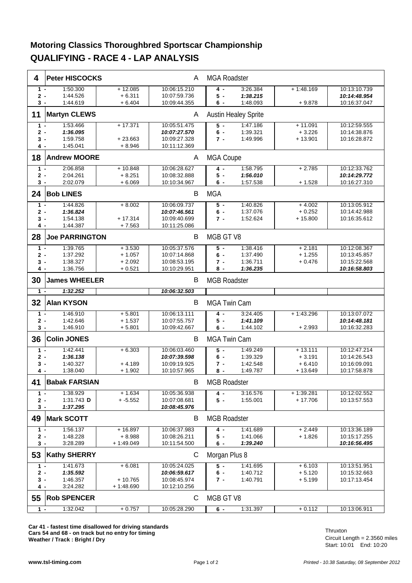#### **Motoring Classics Thoroughbred Sportscar Championship QUALIFYING - RACE 4 - LAP ANALYSIS**

| 4              | <b>Peter HISCOCKS</b>  |                        | A                            | <b>MGA Roadster</b> |                             |                         |                              |
|----------------|------------------------|------------------------|------------------------------|---------------------|-----------------------------|-------------------------|------------------------------|
| $1 -$          | 1:50.300               | $+12.085$              | 10:06:15.210                 | 4 -                 | 3:26.384                    | $+1:48.169$             | 10:13:10.739                 |
| $2 -$          | 1:44.526               | $+6.311$               | 10:07:59.736                 | 5 -                 | 1:38.215                    |                         | 10:14:48.954                 |
| 3 -            | 1:44.619               | $+6.404$               | 10:09:44.355                 | 6 -                 | 1:48.093                    | $+9.878$                | 10:16:37.047                 |
| 11             | <b>Martyn CLEWS</b>    |                        | A                            |                     | <b>Austin Healey Sprite</b> |                         |                              |
| $1 -$          | 1:53.466               | $+17.371$              | 10:05:51.475                 | 5 -                 | 1:47.186                    | $+11.091$               | 10:12:59.555                 |
| $2 -$          | 1:36.095               |                        | 10:07:27.570                 | $6 -$               | 1:39.321                    | $+3.226$                | 10:14:38.876                 |
| 3 -            | 1:59.758               | $+23.663$              | 10:09:27.328                 | 7 -                 | 1:49.996                    | $+13.901$               | 10:16:28.872                 |
| 4 -            | 1:45.041               | $+8.946$               | 10:11:12.369                 |                     |                             |                         |                              |
| 18             | <b>Andrew MOORE</b>    |                        | Α                            | MGA Coupe           |                             |                         |                              |
| $1 -$          | 2:06.858               | $+10.848$              | 10:06:28.627                 | 4 -                 | 1:58.795                    | $+2.785$                | 10:12:33.762                 |
| $2 -$          | 2:04.261               | $+8.251$<br>$+6.069$   | 10:08:32.888                 | $5 -$               | 1:56.010                    |                         | 10:14:29.772                 |
| 3 -            | 2:02.079               |                        | 10:10:34.967                 | 6 -                 | 1:57.538                    | $+1.528$                | 10:16:27.310                 |
| 24             | <b>Bob LINES</b>       |                        | B                            | <b>MGA</b>          |                             |                         |                              |
| $1 -$          | 1:44.826               | $+8.002$               | 10:06:09.737                 | $5 -$               | 1:40.826                    | $+4.002$                | 10:13:05.912                 |
| $2 -$          | 1:36.824               |                        | 10:07:46.561                 | $6 -$               | 1:37.076                    | $+0.252$                | 10:14:42.988                 |
| $3 -$          | 1:54.138<br>1:44.387   | $+17.314$<br>$+7.563$  | 10:09:40.699<br>10:11:25.086 | 7 -                 | 1:52.624                    | $+15.800$               | 10:16:35.612                 |
| 4 -            |                        |                        |                              |                     |                             |                         |                              |
| 28             | <b>Joe PARRINGTON</b>  |                        | В                            | MGB GT V8           |                             |                         |                              |
| $1 -$          | 1:39.765               | $+3.530$               | 10:05:37.576                 | 5 -                 | 1:38.416                    | $+2.181$                | 10:12:08.367                 |
| $2 -$          | 1:37.292<br>1:38.327   | $+1.057$<br>$+2.092$   | 10:07:14.868<br>10:08:53.195 | $6 -$               | 1:37.490<br>1:36.711        | $+1.255$<br>$+0.476$    | 10:13:45.857<br>10:15:22.568 |
| 3 -<br>4 -     | 1:36.756               | $+0.521$               | 10:10:29.951                 | 7 -<br>8 -          | 1:36.235                    |                         | 10:16:58.803                 |
|                |                        |                        |                              |                     |                             |                         |                              |
| 30             | <b>James WHEELER</b>   |                        | В                            | <b>MGB Roadster</b> |                             |                         |                              |
| $1 -$          | 1:32.252               |                        | 10:06:32.503                 |                     |                             |                         |                              |
| 32             | <b>Alan KYSON</b>      |                        | В                            | <b>MGA Twin Cam</b> |                             |                         |                              |
| $1 -$          | 1:46.910               | $+5.801$               | 10:06:13.111                 | 4 -                 | 3:24.405                    | $+1.43.296$             | 10:13:07.072                 |
| $2 -$          | 1:42.646               | $+1.537$               | 10:07:55.757                 | 5 -                 | 1:41.109                    |                         | 10:14:48.181                 |
| 3 -            | 1:46.910               | $+5.801$               | 10:09:42.667                 | 6 -                 | 1:44.102                    | $+2.993$                | 10:16:32.283                 |
| 36             | <b>Colin JONES</b>     |                        | B                            | <b>MGA Twin Cam</b> |                             |                         |                              |
| $1 -$          | 1:42.441               | $+6.303$               | 10:06:03.460                 | $\overline{5}$ -    | 1:49.249                    | $+13.111$               | 10:12:47.214                 |
| $2 -$<br>3 -   | 1:36.138<br>1:40.327   | $+4.189$               | 10:07:39.598<br>10:09:19.925 | 6 -<br>7 -          | 1:39.329<br>1:42.548        | $+3.191$<br>$+6.410$    | 10:14:26.543<br>10:16:09.091 |
| 4 -            | 1:38.040               | $+1.902$               | 10:10:57.965                 | 8 -                 | 1:49.787                    | $+13.649$               | 10:17:58.878                 |
|                |                        |                        |                              |                     |                             |                         |                              |
| 41             | <b>Babak FARSIAN</b>   |                        | B                            | <b>MGB Roadster</b> |                             |                         |                              |
| $1 -$<br>$2 -$ | 1:38.929<br>1:31.743 D | $+1.634$<br>$+ -5.552$ | 10:05:36.938<br>10:07:08.681 | 4 -<br>$5 -$        | 3:16.576<br>1:55.001        | $+1:39.281$<br>+ 17.706 | 10:12:02.552<br>10:13:57.553 |
| 3 -            | 1:37.295               |                        | 10:08:45.976                 |                     |                             |                         |                              |
| 49             | <b>Mark SCOTT</b>      |                        | B                            | <b>MGB Roadster</b> |                             |                         |                              |
| $1 -$          | 1:56.137               | $+16.897$              | 10:06:37.983                 | 4 -                 | 1:41.689                    | $+2.449$                | 10:13:36.189                 |
| $2 -$          | 1:48.228               | $+8.988$               | 10:08:26.211                 | 5 -                 | 1:41.066                    | $+1.826$                | 10:15:17.255                 |
| $3 -$          | 3:28.289               | $+1:49.049$            | 10:11:54.500                 | 6 -                 | 1:39.240                    |                         | 10:16:56.495                 |
| 53             | <b>Kathy SHERRY</b>    |                        | С                            | Morgan Plus 8       |                             |                         |                              |
| $1 -$          | 1:41.673               | $+6.081$               | 10:05:24.025                 | $5 -$               | 1:41.695                    | $+6.103$                | 10:13:51.951                 |
| $2 -$          | 1:35.592               |                        | 10:06:59.617                 | 6 -                 | 1:40.712                    | + 5.120                 | 10:15:32.663                 |
| 3 -            | 1:46.357               | $+10.765$              | 10:08:45.974                 | $7 -$               | 1:40.791                    | $+5.199$                | 10:17:13.454                 |
| 4 -            | 3:24.282               | $+1:48.690$            | 10:12:10.256                 |                     |                             |                         |                              |
| 55             | <b>Rob SPENCER</b>     |                        | С                            | MGB GT V8           |                             |                         |                              |
| $1 -$          | 1:32.042               | $+0.757$               | 10:05:28.290                 | $6 -$               | 1:31.397                    | $+0.112$                | 10:13:06.911                 |

**Car 41 - fastest time disallowed for driving standards Cars 54 and 68 - on track but no entry for timing** Circuit Length = 2.3560 miles **Weather / Track : Bright / Dry**

Start: 10:01 End: 10:20 Thruxton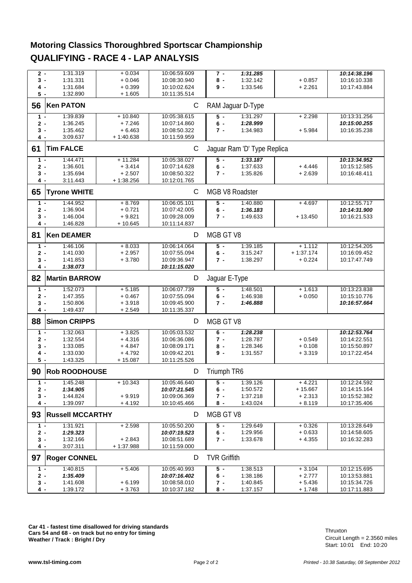#### **Motoring Classics Thoroughbred Sportscar Championship QUALIFYING - RACE 4 - LAP ANALYSIS**

|       | 1:31.319<br>$2 -$       | $+0.034$    | 10:06:59.609 | $7 -$               | 1:31.285                    |             | 10:14:38.196                 |
|-------|-------------------------|-------------|--------------|---------------------|-----------------------------|-------------|------------------------------|
| 3 -   | 1:31.331                | $+0.046$    | 10:08:30.940 | 8 -                 | 1:32.142                    | $+0.857$    | 10:16:10.338                 |
| 4 -   | 1:31.684                | $+0.399$    | 10:10:02.624 | 9-                  | 1:33.546                    | $+2.261$    | 10:17:43.884                 |
| 5 -   | 1:32.890                | $+1.605$    | 10:11:35.514 |                     |                             |             |                              |
| 56    | <b>Ken PATON</b>        |             | $\mathsf C$  |                     | RAM Jaguar D-Type           |             |                              |
|       |                         |             |              |                     |                             |             |                              |
| 1 -   | 1:39.839                | $+10.840$   | 10:05:38.615 | $5 -$               | 1:31.297                    | $+2.298$    | 10:13:31.256                 |
| $2 -$ | 1:36.245                | $+7.246$    | 10:07:14.860 | $6 -$               | 1:28.999                    |             | 10:15:00.255                 |
| 3 -   | 1:35.462                | $+6.463$    | 10:08:50.322 | 7 -                 | 1:34.983                    | $+5.984$    | 10:16:35.238                 |
| 4 -   | 3:09.637                | $+1:40.638$ | 10:11:59.959 |                     |                             |             |                              |
| 61    | <b>Tim FALCE</b>        |             | C            |                     | Jaquar Ram 'D' Type Replica |             |                              |
| $1 -$ | 1:44.471                | $+11.284$   | 10:05:38.027 | 5 -                 | 1:33.187                    |             | 10:13:34.952                 |
| 2 -   | 1:36.601                | $+3.414$    | 10:07:14.628 | $6 -$               | 1:37.633                    | $+4.446$    | 10:15:12.585                 |
| 3 -   | 1:35.694                | $+2.507$    | 10:08:50.322 | $7 -$               | 1:35.826                    | $+2.639$    | 10:16:48.411                 |
| 4 -   | 3:11.443                | $+1:38.256$ | 10:12:01.765 |                     |                             |             |                              |
| 65    | <b>Tyrone WHITE</b>     |             | C            | MGB V8 Roadster     |                             |             |                              |
| $1 -$ | 1:44.952                | $+8.769$    | 10:06:05.101 | $5 -$               | 1:40.880                    | $+4.697$    | 10:12:55.717                 |
| 2 -   | 1:36.904                | $+0.721$    | 10:07:42.005 | 6 -                 | 1:36.183                    |             | 10:14:31.900                 |
| 3 -   | 1:46.004                | $+9.821$    | 10:09:28.009 | $7 -$               | 1:49.633                    | $+13.450$   | 10:16:21.533                 |
| 4 -   | 1:46.828                | $+10.645$   | 10:11:14.837 |                     |                             |             |                              |
| 81    | <b>Ken DEAMER</b>       |             | D            | MGB GT V8           |                             |             |                              |
| $1 -$ | 1:46.106                | $+8.033$    | 10:06:14.064 | $5 -$               | 1:39.185                    | $+1.112$    | 10:12:54.205                 |
| $2 -$ | 1:41.030                | $+2.957$    | 10:07:55.094 | $6 -$               | 3:15.247                    | $+1:37.174$ | 10:16:09.452                 |
| 3 -   | 1:41.853                | $+3.780$    | 10:09:36.947 | 7 -                 | 1:38.297                    | $+0.224$    | 10:17:47.749                 |
| 4 -   | 1:38.073                |             | 10:11:15.020 |                     |                             |             |                              |
| 82    | <b>Martin BARROW</b>    |             | D            | Jaguar E-Type       |                             |             |                              |
| $1 -$ | 1:52.073                | $+5.185$    | 10:06:07.739 | $5 -$               | 1:48.501                    | $+1.613$    | 10:13:23.838                 |
| 2 -   | 1:47.355                | $+0.467$    | 10:07:55.094 | $6 -$               | 1:46.938                    | $+0.050$    | 10:15:10.776                 |
| 3 -   | 1:50.806                | $+3.918$    | 10:09:45.900 | $7 -$               | 1:46.888                    |             | 10:16:57.664                 |
| 4 -   | 1:49.437                | $+2.549$    | 10:11:35.337 |                     |                             |             |                              |
| 88    | <b>Simon CRIPPS</b>     |             | D            | MGB GT V8           |                             |             |                              |
| 1 -   |                         |             |              |                     |                             |             |                              |
|       | 1:32.063                | $+3.825$    | 10:05:03.532 | $6 -$               |                             |             |                              |
| 2 -   | 1:32.554                | $+4.316$    | 10:06:36.086 | $7 -$               | 1:28.238<br>1:28.787        | $+0.549$    | 10:12:53.764<br>10:14:22.551 |
| 3 -   | 1:33.085                | $+4.847$    | 10:08:09.171 | 8 -                 | 1:28.346                    | $+0.108$    | 10:15:50.897                 |
| 4 -   | 1:33.030                | $+4.792$    | 10:09:42.201 | 9-                  | 1:31.557                    | $+3.319$    | 10:17:22.454                 |
| $5 -$ | 1:43.325                | $+15.087$   | 10:11:25.526 |                     |                             |             |                              |
| 90    | <b>Rob ROODHOUSE</b>    |             | D            | Triumph TR6         |                             |             |                              |
| $1 -$ | 1:45.248                | $+10.343$   | 10:05:46.640 | $5 -$               | 1:39.126                    | $+4.221$    | 10:12:24.592                 |
| $2 -$ | 1:34.905                |             | 10:07:21.545 | $6 -$               | 1:50.572                    | $+15.667$   | 10:14:15.164                 |
| 3 -   | 1:44.824                | $+9.919$    | 10:09:06.369 | 7 -                 | 1:37.218                    | $+2.313$    | 10:15:52.382                 |
| 4 -   | 1:39.097                | $+4.192$    | 10:10:45.466 | 8 -                 | 1:43.024                    | $+8.119$    | 10:17:35.406                 |
| 93    | <b>Russell MCCARTHY</b> |             | D            | MGB GT V8           |                             |             |                              |
| $1 -$ | 1:31.921                | $+2.598$    | 10:05:50.200 | $5 -$               | 1:29.649                    | $+0.326$    | 10:13:28.649                 |
| $2 -$ | 1:29.323                |             | 10:07:19.523 | $6 -$               | 1:29.956                    | $+0.633$    | 10:14:58.605                 |
| 3 -   | 1:32.166                | $+2.843$    | 10:08:51.689 | 7 -                 | 1:33.678                    | $+4.355$    | 10:16:32.283                 |
| $4 -$ | 3:07.311                | + 1:37.988  | 10:11:59.000 |                     |                             |             |                              |
| 97    | <b>Roger CONNEL</b>     |             | D            | <b>TVR Griffith</b> |                             |             |                              |
| $1 -$ | 1:40.815                | $+5.406$    | 10:05:40.993 | $5 -$               | 1:38.513                    | $+3.104$    | 10:12:15.695                 |
| $2 -$ | 1:35.409                |             | 10:07:16.402 | 6 -                 | 1:38.186                    | $+2.777$    | 10:13:53.881                 |
| $3 -$ | 1:41.608                | $+6.199$    | 10:08:58.010 | 7 -                 | 1:40.845                    | $+5.436$    | 10:15:34.726                 |
| 4 -   | 1:39.172                | $+3.763$    | 10:10:37.182 | 8 -                 | 1:37.157                    | $+1.748$    | 10:17:11.883                 |

**Car 41 - fastest time disallowed for driving standards Cars 54 and 68 - on track but no entry for timing** Circuit Length = 2.3560 miles **Weather / Track : Bright / Dry**

Start: 10:01 End: 10:20 Thruxton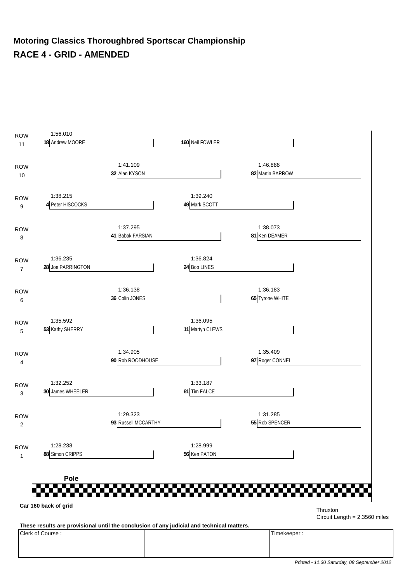#### **Motoring Classics Thoroughbred Sportscar Championship RACE 4 - GRID - AMENDED**



Clerk of Course : Timekeeper :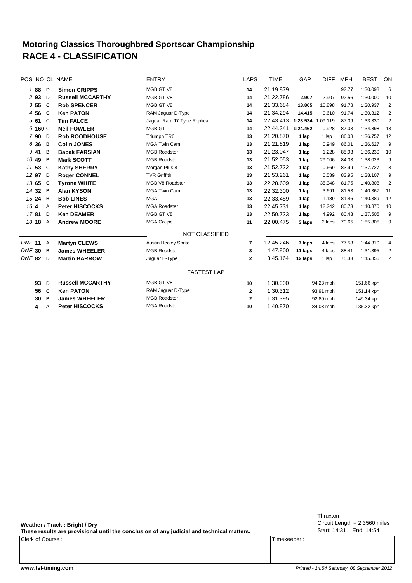#### **RACE 4 - CLASSIFICATION Motoring Classics Thoroughbred Sportscar Championship**

| POS NO CL NAME          |                                             |  | <b>ENTRY</b>                | <b>LAPS</b>  | <b>TIME</b> | GAP      | <b>DIFF</b> | <b>MPH</b> | <b>BEST</b> | ON             |
|-------------------------|---------------------------------------------|--|-----------------------------|--------------|-------------|----------|-------------|------------|-------------|----------------|
| 188<br>D                | <b>Simon CRIPPS</b>                         |  | MGB GT V8                   | 14           | 21:19.879   |          |             | 92.77      | 1:30.098    | 6              |
| 2 93<br>D               | <b>Russell MCCARTHY</b>                     |  | MGB GT V8                   | 14           | 21:22.786   | 2.907    | 2.907       | 92.56      | 1:30.000    | 10             |
| 355<br>C                | <b>Rob SPENCER</b>                          |  | MGB GT V8                   | 14           | 21:33.684   | 13.805   | 10.898      | 91.78      | 1:30.937    | 2              |
| 4 5 6<br>C <sub>1</sub> | <b>Ken PATON</b>                            |  | RAM Jaguar D-Type           | 14           | 21:34.294   | 14.415   | 0.610       | 91.74      | 1:30.312    | 2              |
| $561$ C                 | <b>Tim FALCE</b>                            |  | Jaguar Ram 'D' Type Replica | 14           | 22:43.413   | 1:23.534 | 1:09.119    | 87.09      | 1:33.330    | $\overline{2}$ |
| 6 160 C                 | <b>Neil FOWLER</b>                          |  | MGB GT                      | 14           | 22:44.341   | 1:24.462 | 0.928       | 87.03      | 1:34.898    | 13             |
| 790 D                   | <b>Rob ROODHOUSE</b>                        |  | Triumph TR6                 | 13           | 21:20.870   | 1 lap    | 1 lap       | 86.08      | 1:36.757    | 12             |
| 8 3 6<br>B              | <b>Colin JONES</b>                          |  | <b>MGA Twin Cam</b>         | 13           | 21:21.819   | 1 lap    | 0.949       | 86.01      | 1:36.627    | 9              |
| 9 41<br>B               | <b>Babak FARSIAN</b>                        |  | <b>MGB Roadster</b>         | 13           | 21:23.047   | 1 lap    | 1.228       | 85.93      | 1:36.230    | 10             |
| 10 49<br>B              | <b>Mark SCOTT</b>                           |  | <b>MGB Roadster</b>         | 13           | 21:52.053   | 1 lap    | 29.006      | 84.03      | 1:38.023    | 9              |
| 11 53<br>C              | <b>Kathy SHERRY</b>                         |  | Morgan Plus 8               | 13           | 21:52.722   | 1 lap    | 0.669       | 83.99      | 1:37.727    | 3              |
| 12 97<br>D              | <b>Roger CONNEL</b>                         |  | <b>TVR Griffith</b>         | 13           | 21:53.261   | 1 lap    | 0.539       | 83.95      | 1:38.107    | 9              |
| 13 65<br>C              | <b>Tyrone WHITE</b>                         |  | MGB V8 Roadster             | 13           | 22:28.609   | 1 lap    | 35.348      | 81.75      | 1:40.808    | 2              |
| 14 32<br>B              | <b>Alan KYSON</b>                           |  | <b>MGA Twin Cam</b>         | 13           | 22:32.300   | 1 lap    | 3.691       | 81.53      | 1:40.367    | 11             |
| 15 24<br>B              | <b>Bob LINES</b>                            |  | <b>MGA</b>                  | 13           | 22:33.489   | 1 lap    | 1.189       | 81.46      | 1:40.389    | 12             |
| 164<br>$\overline{A}$   | <b>Peter HISCOCKS</b>                       |  | <b>MGA Roadster</b>         | 13           | 22:45.731   | 1 lap    | 12.242      | 80.73      | 1:40.870    | 10             |
| 1781<br>D               | <b>Ken DEAMER</b>                           |  | MGB GT V8                   | 13           | 22:50.723   | 1 lap    | 4.992       | 80.43      | 1:37.505    | 9              |
| 18 18<br>A              | <b>Andrew MOORE</b>                         |  | <b>MGA Coupe</b>            | 11           | 22:00.475   | 3 laps   | 2 laps      | 70.65      | 1:55.805    | 9              |
|                         |                                             |  | <b>NOT CLASSIFIED</b>       |              |             |          |             |            |             |                |
| <b>DNF 11</b><br>A      | <b>Martyn CLEWS</b>                         |  | <b>Austin Healey Sprite</b> | 7            | 12:45.246   | 7 laps   | 4 laps      | 77.58      | 1:44.310    | 4              |
| $DNF$ 30<br>B           | <b>James WHEELER</b>                        |  | <b>MGB Roadster</b>         | 3            | 4:47.800    | 11 laps  | 4 laps      | 88.41      | 1:31.395    | 2              |
| DNF <sub>82</sub><br>D  | <b>Martin BARROW</b>                        |  | Jaguar E-Type               | $\mathbf{2}$ | 3:45.164    | 12 laps  | 1 lap       | 75.33      | 1:45.856    | $\overline{2}$ |
|                         |                                             |  | <b>FASTEST LAP</b>          |              |             |          |             |            |             |                |
| 93<br>D                 | <b>Russell MCCARTHY</b>                     |  | MGB GT V8                   | 10           | 1:30.000    |          | 94.23 mph   |            | 151.66 kph  |                |
| 56<br>$\mathsf{C}$      | <b>Ken PATON</b>                            |  | RAM Jaguar D-Type           | $\mathbf{2}$ | 1:30.312    |          | 93.91 mph   |            | 151.14 kph  |                |
| B<br>30                 | <b>MGB Roadster</b><br><b>James WHEELER</b> |  | $\mathbf{2}$                | 1:31.395     | 92.80 mph   |          | 149.34 kph  |            |             |                |
| 4<br>Α                  | <b>Peter HISCOCKS</b>                       |  | <b>MGA Roadster</b>         | 10           | 1:40.870    |          | 84.08 mph   |            | 135.32 kph  |                |
|                         |                                             |  |                             |              |             |          |             |            |             |                |

**Weather / Track : Bright / Dry**

**These results are provisional until the conclusion of any judicial and technical matters.**

Clerk of Course : Timekeeper :

Circuit Length = 2.3560 miles Start: 14:31 End: 14:54 Thruxton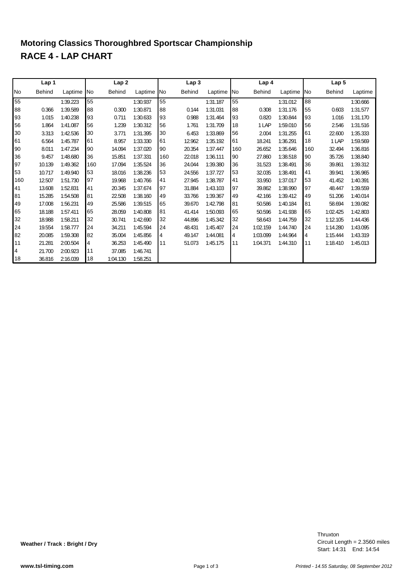## **RACE 4 - LAP CHART Motoring Classics Thoroughbred Sportscar Championship**

|     | Lap 1         |          |            | Lap2          |            |     | Lap <sub>3</sub> |          |            | Lap 4         |          |            | Lap <sub>5</sub> |          |
|-----|---------------|----------|------------|---------------|------------|-----|------------------|----------|------------|---------------|----------|------------|------------------|----------|
| lNo | <b>Behind</b> | Laptime  | <b>INo</b> | <b>Behind</b> | Laptime No |     | <b>Behind</b>    | Laptime  | <b>INo</b> | <b>Behind</b> | Laptime  | <b>INo</b> | <b>Behind</b>    | Laptime  |
| 55  |               | 1:39.223 | 55         |               | 1:30.937   | 55  |                  | 1:31.187 | 55         |               | 1:31.012 | 88         |                  | 1:30.666 |
| 88  | 0.366         | 1:39.589 | 88         | 0.300         | 1:30.871   | 88  | 0.144            | 1:31.031 | 88         | 0.308         | 1:31.176 | 55         | 0.603            | 1:31.577 |
| 93  | 1.015         | 1:40.238 | 93         | 0.711         | 1:30.633   | 93  | 0.988            | 1:31.464 | 93         | 0.820         | 1:30.844 | 93         | 1.016            | 1:31.170 |
| 56  | 1.864         | 1:41.087 | 56         | 1.239         | 1:30.312   | 56  | 1.761            | 1:31.709 | 18         | 1 LAP         | 1:59.010 | 56         | 2.546            | 1:31.516 |
| 30  | 3.313         | 1:42.536 | 30         | 3.771         | 1:31.395   | 30  | 6.453            | 1:33.869 | 56         | 2.004         | 1:31.255 | 61         | 22.600           | 1:35.333 |
| 61  | 6.564         | 1:45.787 | 61         | 8.957         | 1:33.330   | 61  | 12.962           | 1:35.192 | 61         | 18.241        | 1:36.291 | 18         | 1 LAP            | 1:59.569 |
| 90  | 8.011         | 1:47.234 | 90         | 14.094        | 1:37.020   | 90  | 20.354           | 1:37.447 | 160        | 26.652        | 1:35.646 | 160        | 32.494           | 1:36.816 |
| 36  | 9.457         | 1:48.680 | 36         | 15.851        | 1:37.331   | 160 | 22.018           | 1:36.111 | 90         | 27.860        | 1:38.518 | 90         | 35.726           | 1:38.840 |
| 97  | 10.139        | 1:49.362 | 160        | 17.094        | 1:35.524   | 36  | 24.044           | 1:39.380 | 36         | 31.523        | 1:38.491 | 36         | 39.861           | 1:39.312 |
| 53  | 10.717        | 1:49.940 | 53         | 18.016        | 1:38.236   | 53  | 24.556           | 1:37.727 | 53         | 32.035        | 1:38.491 | 41         | 39.941           | 1:36.965 |
| 160 | 12.507        | 1:51.730 | 97         | 19.968        | 1:40.766   | 41  | 27.945           | 1:38.787 | 41         | 33.950        | 1:37.017 | 53         | 41.452           | 1:40.391 |
| 41  | 13.608        | 1:52.831 | 41         | 20.345        | 1:37.674   | 97  | 31.884           | 1:43.103 | 97         | 39.862        | 1:38.990 | 97         | 48.447           | 1:39.559 |
| 81  | 15.285        | 1:54.508 | 81         | 22.508        | 1:38.160   | 49  | 33.766           | 1:39.367 | 49         | 42.166        | 1:39.412 | 49         | 51.206           | 1:40.014 |
| 49  | 17.008        | 1:56.231 | 49         | 25.586        | 1:39.515   | 65  | 39.670           | 1:42.798 | 81         | 50.586        | 1:40.184 | 81         | 58.694           | 1:39.082 |
| 65  | 18.188        | 1:57.411 | 65         | 28.059        | 1:40.808   | 81  | 41.414           | 1:50.093 | 65         | 50.596        | 1:41.938 | 65         | 1:02.425         | 1:42.803 |
| 32  | 18.988        | 1:58.211 | 32         | 30.741        | 1:42.690   | 32  | 44.896           | 1:45.342 | 32         | 58.643        | 1:44.759 | 32         | 1:12.105         | 1:44.436 |
| 24  | 19.554        | 1:58.777 | 24         | 34.211        | 1:45.594   | 24  | 48.431           | 1:45.407 | 24         | 1:02.159      | 1:44.740 | 24         | 1:14.280         | 1:43.095 |
| 82  | 20.085        | 1:59.308 | 82         | 35.004        | 1:45.856   | 4   | 49.147           | 1:44.081 | 4          | 1:03.099      | 1:44.964 | 4          | 1:15.444         | 1:43.319 |
| 11  | 21.281        | 2:00.504 | 4          | 36.253        | 1:45.490   | 11  | 51.073           | 1:45.175 | 11         | 1:04.371      | 1:44.310 | 11         | 1:18.410         | 1:45.013 |
| 4   | 21.700        | 2:00.923 | 11         | 37.085        | 1:46.741   |     |                  |          |            |               |          |            |                  |          |
| 18  | 36.816        | 2:16.039 | 18         | 1:04.130      | 1:58.251   |     |                  |          |            |               |          |            |                  |          |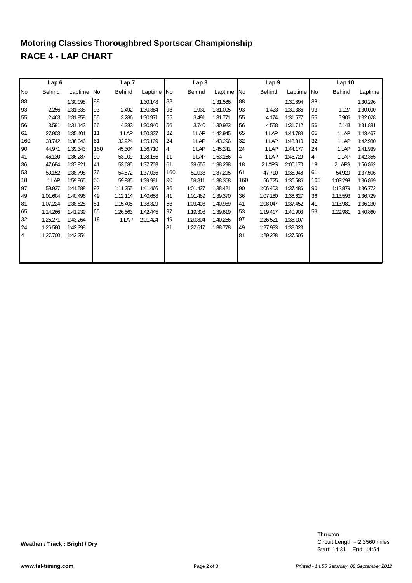## **RACE 4 - LAP CHART Motoring Classics Thoroughbred Sportscar Championship**

|           | Lap <sub>6</sub> |          |     | Lap <sub>7</sub> |            |     | Lap <sub>8</sub> |          |            | Lap <sub>9</sub> |          |     | Lap 10        |          |
|-----------|------------------|----------|-----|------------------|------------|-----|------------------|----------|------------|------------------|----------|-----|---------------|----------|
| <b>No</b> | Behind           | Laptime  | No  | <b>Behind</b>    | Laptime No |     | Behind           | Laptime  | <b>INo</b> | Behind           | Laptime  | No  | <b>Behind</b> | Laptime  |
| 88        |                  | 1:30.098 | 88  |                  | 1:30.148   | 88  |                  | 1:31.566 | 88         |                  | 1:30.894 | 88  |               | 1:30.296 |
| 93        | 2.256            | 1:31.338 | 93  | 2.492            | 1:30.384   | 93  | 1.931            | 1:31.005 | 93         | 1.423            | 1:30.386 | 93  | 1.127         | 1:30.000 |
| 55        | 2.463            | 1:31.958 | 55  | 3.286            | 1:30.971   | 55  | 3.491            | 1:31.771 | 55         | 4.174            | 1:31.577 | 55  | 5.906         | 1:32.028 |
| 56        | 3.591            | 1:31.143 | 56  | 4.383            | 1:30.940   | 56  | 3.740            | 1:30.923 | 56         | 4.558            | 1:31.712 | 56  | 6.143         | 1:31.881 |
| 61        | 27.903           | 1:35.401 | 11  | 1 LAP            | 1:50.337   | 32  | 1 LAP            | 1:42.945 | 65         | 1 LAP            | 1:44.783 | 65  | 1 LAP         | 1:43.467 |
| 160       | 38.742           | 1:36.346 | 61  | 32.924           | 1:35.169   | 24  | 1 LAP            | 1:43.296 | 32         | 1 LAP            | 1:43.310 | 32  | 1 LAP         | 1:42.980 |
| 90        | 44.971           | 1:39.343 | 160 | 45.304           | 1:36.710   | 4   | 1 LAP            | 1:45.241 | 24         | 1 LAP            | 1:44.177 | 24  | 1 LAP         | 1:41.939 |
| 41        | 46.130           | 1:36.287 | 90  | 53.009           | 1:38.186   | 11  | 1 LAP            | 1:53.166 | 4          | 1 LAP            | 1:43.729 | 4   | 1 LAP         | 1:42.355 |
| 36        | 47.684           | 1:37.921 | 41  | 53.685           | 1:37.703   | 61  | 39.656           | 1:38.298 | 18         | 2 LAPS           | 2:00.170 | 18  | 2 LAPS        | 1:56.862 |
| 53        | 50.152           | 1:38.798 | 36  | 54.572           | 1:37.036   | 160 | 51.033           | 1:37.295 | 61         | 47.710           | 1:38.948 | 61  | 54.920        | 1:37.506 |
| 18        | 1 LAP            | 1:59.865 | 53  | 59.985           | 1:39.981   | 90  | 59.811           | 1:38.368 | 160        | 56.725           | 1:36.586 | 160 | 1:03.298      | 1:36.869 |
| 97        | 59.937           | 1:41.588 | 97  | 1:11.255         | 1:41.466   | 36  | 1:01.427         | 1:38.421 | 90         | 1:06.403         | 1:37.486 | 90  | 1:12.879      | 1:36.772 |
| 49        | 1:01.604         | 1:40.496 | 49  | 1:12.114         | 1:40.658   | 41  | 1:01.489         | 1:39.370 | 36         | 1:07.160         | 1:36.627 | 36  | 1:13.593      | 1:36.729 |
| 81        | 1:07.224         | 1:38.628 | 81  | 1:15.405         | 1:38.329   | 53  | 1:09.408         | 1:40.989 | 41         | 1:08.047         | 1:37.452 | 41  | 1:13.981      | 1:36.230 |
| 65        | 1:14.266         | 1:41.939 | 65  | 1:26.563         | 1:42.445   | 97  | 1:19.308         | 1:39.619 | 53         | 1:19.417         | 1:40.903 | 53  | 1:29.981      | 1:40.860 |
| 32        | 1:25.271         | 1:43.264 | 18  | 1 LAP            | 2:01.424   | 49  | 1:20.804         | 1:40.256 | 97         | 1:26.521         | 1:38.107 |     |               |          |
| 24        | 1:26.580         | 1:42.398 |     |                  |            | 81  | 1:22.617         | 1:38.778 | 49         | 1:27.933         | 1:38.023 |     |               |          |
| 4         | 1:27.700         | 1:42.354 |     |                  |            |     |                  |          | 81         | 1:29.228         | 1:37.505 |     |               |          |
|           |                  |          |     |                  |            |     |                  |          |            |                  |          |     |               |          |
|           |                  |          |     |                  |            |     |                  |          |            |                  |          |     |               |          |
|           |                  |          |     |                  |            |     |                  |          |            |                  |          |     |               |          |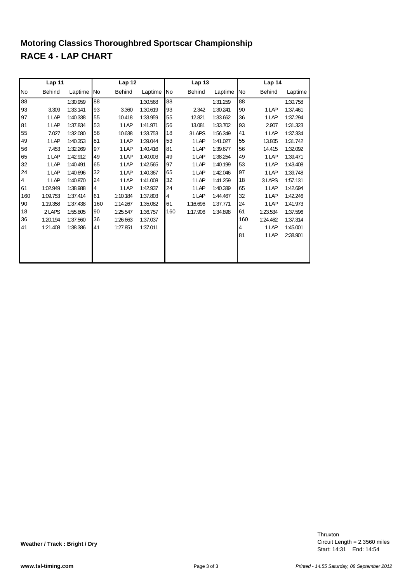## **RACE 4 - LAP CHART Motoring Classics Thoroughbred Sportscar Championship**

|     | Lap 11        |          |     | Lap 12        |          |     | Lap 13   |          |     | Lap 14        |          |
|-----|---------------|----------|-----|---------------|----------|-----|----------|----------|-----|---------------|----------|
| No  | <b>Behind</b> | Laptime  | No  | <b>Behind</b> | Laptime  | No  | Behind   | Laptime  | No  | <b>Behind</b> | Laptime  |
| 88  |               | 1:30.959 | 88  |               | 1:30.568 | 88  |          | 1:31.259 | 88  |               | 1:30.758 |
| 93  | 3.309         | 1:33.141 | 93  | 3.360         | 1:30.619 | 93  | 2.342    | 1:30.241 | 90  | 1 LAP         | 1:37.461 |
| 97  | 1 LAP         | 1:40.338 | 55  | 10.418        | 1:33.959 | 55  | 12.821   | 1:33.662 | 36  | 1 LAP         | 1:37.294 |
| 81  | 1 LAP         | 1:37.834 | 53  | 1 LAP         | 1:41.971 | 56  | 13.081   | 1:33.702 | 93  | 2.907         | 1:31.323 |
| 55  | 7.027         | 1:32.080 | 56  | 10.638        | 1:33.753 | 18  | 3 LAPS   | 1:56.349 | 41  | 1 LAP         | 1:37.334 |
| 49  | 1 LAP         | 1:40.353 | 81  | 1 LAP         | 1:39.044 | 53  | 1 LAP    | 1:41.027 | 55  | 13.805        | 1:31.742 |
| 56  | 7.453         | 1:32.269 | 97  | 1 LAP         | 1:40.416 | 81  | 1 LAP    | 1:39.677 | 56  | 14.415        | 1:32.092 |
| 65  | 1 LAP         | 1:42.912 | 49  | 1 LAP         | 1:40.003 | 49  | 1 LAP    | 1:38.254 | 49  | 1 LAP         | 1:39.471 |
| 32  | 1 LAP         | 1:40.491 | 65  | 1 LAP         | 1:42.565 | 97  | 1 LAP    | 1:40.199 | 53  | 1 LAP         | 1:43.408 |
| 24  | 1 LAP         | 1:40.696 | 32  | 1 LAP         | 1:40.367 | 65  | 1 LAP    | 1:42.046 | 97  | 1 LAP         | 1:39.748 |
| 4   | 1 LAP         | 1:40.870 | 24  | 1 LAP         | 1:41.008 | 32  | 1 LAP    | 1:41.259 | 18  | 3 LAPS        | 1:57.131 |
| 61  | 1:02.949      | 1:38.988 | 4   | 1 LAP         | 1:42.937 | 24  | 1 LAP    | 1:40.389 | 65  | 1 LAP         | 1:42.694 |
| 160 | 1:09.753      | 1:37.414 | 61  | 1:10.184      | 1:37.803 | 4   | 1 LAP    | 1:44.467 | 32  | 1 LAP         | 1:42.246 |
| 90  | 1:19.358      | 1:37.438 | 160 | 1:14.267      | 1:35.082 | 61  | 1:16.696 | 1:37.771 | 24  | 1 LAP         | 1:41.973 |
| 18  | 2 LAPS        | 1:55.805 | 90  | 1:25.547      | 1:36.757 | 160 | 1:17.906 | 1:34.898 | 61  | 1:23.534      | 1:37.596 |
| 36  | 1:20.194      | 1:37.560 | 36  | 1:26.663      | 1:37.037 |     |          |          | 160 | 1:24.462      | 1:37.314 |
| 41  | 1:21.408      | 1:38.386 | 41  | 1:27.851      | 1:37.011 |     |          |          | 4   | 1 LAP         | 1:45.001 |
|     |               |          |     |               |          |     |          |          | 81  | 1 LAP         | 2:38.901 |
|     |               |          |     |               |          |     |          |          |     |               |          |
|     |               |          |     |               |          |     |          |          |     |               |          |
|     |               |          |     |               |          |     |          |          |     |               |          |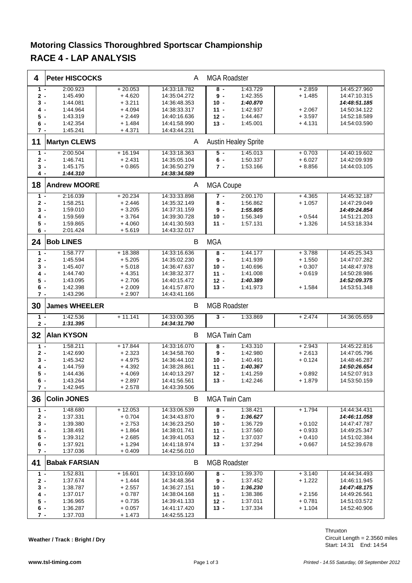## **Motoring Classics Thoroughbred Sportscar Championship RACE 4 - LAP ANALYSIS**

| 4            | <b>Peter HISCOCKS</b> |                      | A                            | <b>MGA Roadster</b> |                             |          |              |
|--------------|-----------------------|----------------------|------------------------------|---------------------|-----------------------------|----------|--------------|
| $1 -$        | 2:00.923              | $+20.053$            | 14:33:18.782                 | $8 -$               | 1:43.729                    | $+2.859$ | 14:45:27.960 |
| $2 -$        | 1:45.490              | $+4.620$             | 14:35:04.272                 | $9 -$               | 1:42.355                    | $+1.485$ | 14:47:10.315 |
| 3 -          | 1:44.081              | $+3.211$             | 14:36:48.353                 | $10 -$              | 1:40.870                    |          | 14:48:51.185 |
|              | 1:44.964              |                      | 14:38:33.317                 |                     |                             | $+2.067$ |              |
| 4.           |                       | $+4.094$             |                              | $11 -$              | 1:42.937                    |          | 14:50:34.122 |
| 5 -          | 1:43.319              | $+2.449$             | 14:40:16.636                 | $12 -$              | 1:44.467                    | $+3.597$ | 14:52:18.589 |
| 6 -          | 1:42.354              | $+1.484$             | 14:41:58.990                 | $13 -$              | 1:45.001                    | $+4.131$ | 14:54:03.590 |
| $7 -$        | 1:45.241              | $+4.371$             | 14:43:44.231                 |                     |                             |          |              |
| 11           | <b>Martyn CLEWS</b>   |                      | A                            |                     | <b>Austin Healey Sprite</b> |          |              |
| $1 -$        | 2:00.504              | $+16.194$            | 14:33:18.363                 | $5 -$               | 1:45.013                    | $+0.703$ | 14:40:19.602 |
| $2 -$        | 1:46.741              | $+2.431$             | 14:35:05.104                 | $6 -$               | 1:50.337                    | $+6.027$ | 14:42:09.939 |
| 3 -          | 1:45.175              | $+0.865$             | 14:36:50.279                 | $7 -$               | 1:53.166                    | $+8.856$ | 14:44:03.105 |
| 4 -          | 1:44.310              |                      | 14:38:34.589                 |                     |                             |          |              |
|              |                       |                      |                              |                     |                             |          |              |
| 18           | <b>Andrew MOORE</b>   |                      | A                            | <b>MGA Coupe</b>    |                             |          |              |
| $1 -$        | 2:16.039              | $+20.234$            | 14:33:33.898                 | $7 -$               | 2:00.170                    | $+4.365$ | 14:45:32.187 |
| $2 -$        | 1:58.251              | $+2.446$             | 14:35:32.149                 | 8 -                 | 1:56.862                    | $+1.057$ | 14:47:29.049 |
| $3 -$        | 1:59.010              | $+3.205$             | 14:37:31.159                 | $9 -$               | 1:55.805                    |          | 14:49:24.854 |
| 4.           | 1:59.569              | $+3.764$             | 14:39:30.728                 | $10 -$              | 1:56.349                    | $+0.544$ | 14:51:21.203 |
| 5 -          | 1:59.865              | $+4.060$             | 14:41:30.593                 | $11 -$              | 1:57.131                    | $+1.326$ | 14:53:18.334 |
| 6 -          | 2:01.424              | $+5.619$             | 14:43:32.017                 |                     |                             |          |              |
|              |                       |                      |                              |                     |                             |          |              |
| 24           | <b>Bob LINES</b>      |                      | B                            | <b>MGA</b>          |                             |          |              |
| $1 -$        | 1:58.777              | $+18.388$            | 14:33:16.636                 | 8 -                 | 1:44.177                    | $+3.788$ | 14:45:25.343 |
| $2 -$        | 1:45.594              | $+5.205$             | 14:35:02.230                 | $9 -$               | 1:41.939                    | $+1.550$ | 14:47:07.282 |
| 3 -          | 1:45.407              | $+5.018$             | 14:36:47.637                 | $10 -$              | 1:40.696                    | $+0.307$ | 14:48:47.978 |
| 4.           | 1:44.740              | $+4.351$             | 14:38:32.377                 | $11 -$              | 1:41.008                    | $+0.619$ | 14:50:28.986 |
| 5 -          | 1:43.095              | $+2.706$             | 14:40:15.472                 | $12 -$              | 1:40.389                    |          | 14:52:09.375 |
|              |                       |                      |                              |                     |                             |          |              |
| 6 -          | 1:42.398              | $+2.009$             | 14:41:57.870                 | $13 -$              | 1:41.973                    | $+1.584$ | 14:53:51.348 |
| 7 -          | 1:43.296              | $+2.907$             | 14:43:41.166                 |                     |                             |          |              |
|              |                       |                      |                              |                     |                             |          |              |
| 30           | <b>James WHEELER</b>  |                      | В                            | <b>MGB Roadster</b> |                             |          |              |
| $1 -$        | 1:42.536              | $+11.141$            | 14:33:00.395                 | $3 -$               | 1:33.869                    | $+2.474$ | 14:36:05.659 |
| $2 -$        | 1:31.395              |                      | 14:34:31.790                 |                     |                             |          |              |
|              | <b>Alan KYSON</b>     |                      | B                            | <b>MGA Twin Cam</b> |                             |          |              |
| 32           |                       |                      |                              |                     |                             |          |              |
| $1 -$        | 1:58.211              | $+17.844$            | 14:33:16.070                 | $8 -$               | 1:43.310                    | $+2.943$ | 14:45:22.816 |
| 2 -          | 1:42.690              | $+2.323$             | 14:34:58.760                 | $9 -$               | 1:42.980                    | $+2.613$ | 14:47:05.796 |
| 3 -          | 1:45.342              | $+4.975$             | 14:36:44.102                 | $10 -$              | 1:40.491                    | $+0.124$ | 14:48:46.287 |
| 4 -          | 1:44.759              | $+4.392$             | 14:38:28.861                 | $11 -$              | 1:40.367                    |          | 14:50:26.654 |
| $5 -$        | 1:44.436              | $+4.069$             | 14:40:13.297                 | 12 -                | 1:41.259                    | $+0.892$ | 14:52:07.913 |
| 6 -          | 1:43.264              | $+2.897$             | 14:41:56.561                 | $13 -$              | 1:42.246                    | $+1.879$ | 14:53:50.159 |
| 7 -          | 1:42.945              | $+2.578$             | 14:43:39.506                 |                     |                             |          |              |
| 36           | <b>Colin JONES</b>    |                      | B                            | <b>MGA Twin Cam</b> |                             |          |              |
|              |                       |                      |                              |                     |                             |          |              |
| $1 -$        | 1:48.680              | $+12.053$            | 14:33:06.539                 | $8 -$               | 1:38.421                    | $+1.794$ | 14:44:34.431 |
| $2 -$        | 1:37.331              | $+0.704$             | 14:34:43.870                 | $9 -$               | 1:36.627                    |          | 14:46:11.058 |
| 3 -          | 1:39.380              | $+2.753$             | 14:36:23.250                 | $10 -$              | 1:36.729                    | $+0.102$ | 14:47:47.787 |
| 4 -          | 1:38.491              | $+1.864$             | 14:38:01.741                 | $11 -$              | 1:37.560                    | $+0.933$ | 14:49:25.347 |
| 5 -          | 1:39.312              | $+2.685$             | 14:39:41.053                 | $12 -$              | 1:37.037                    | $+0.410$ | 14:51:02.384 |
| 6 -          | 1:37.921              | $+1.294$             | 14:41:18.974                 | $13 -$              | 1:37.294                    | $+0.667$ | 14:52:39.678 |
| $7 -$        | 1:37.036              | $+0.409$             | 14:42:56.010                 |                     |                             |          |              |
|              |                       |                      |                              |                     |                             |          |              |
| 41           | <b>Babak FARSIAN</b>  |                      | В                            | <b>MGB Roadster</b> |                             |          |              |
| $1 -$        | 1:52.831              | $+16.601$            | 14:33:10.690                 | 8 -                 | 1:39.370                    | $+3.140$ | 14:44:34.493 |
| 2 -          | 1:37.674              | $+ 1.444$            | 14:34:48.364                 | 9 -                 | 1:37.452                    | $+1.222$ | 14:46:11.945 |
| 3 -          | 1:38.787              | $+2.557$             | 14:36:27.151                 | $10 -$              | 1:36.230                    |          | 14:47:48.175 |
| 4 -          | 1:37.017              | $+0.787$             | 14:38:04.168                 | $11 -$              | 1:38.386                    | $+2.156$ | 14:49:26.561 |
| 5 -          | 1:36.965              | $+0.735$             |                              | $12 -$              | 1:37.011                    | $+0.781$ | 14:51:03.572 |
|              |                       |                      | 14:39:41.133                 |                     |                             |          |              |
| 6 -<br>$7 -$ | 1:36.287<br>1:37.703  | $+0.057$<br>$+1.473$ | 14:41:17.420<br>14:42:55.123 | $13 -$              | 1:37.334                    | $+1.104$ | 14:52:40.906 |

**Weather / Track : Bright / Dry**

Circuit Length = 2.3560 miles Thruxton

Start: 14:31 End: 14:54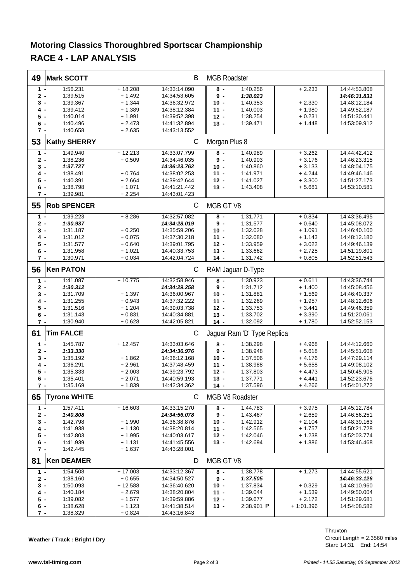## **Motoring Classics Thoroughbred Sportscar Championship RACE 4 - LAP ANALYSIS**

| 49           | <b>Mark SCOTT</b>    |                     | В                            | <b>MGB Roadster</b> |                             |                     |                              |  |  |
|--------------|----------------------|---------------------|------------------------------|---------------------|-----------------------------|---------------------|------------------------------|--|--|
| $1 -$        | 1:56.231             | $+18.208$           | 14:33:14.090                 | $8 -$               | 1:40.256                    | $+2.233$            | 14:44:53.808                 |  |  |
| 2 -          | 1:39.515             | $+1.492$            | 14:34:53.605                 | $9 -$               | 1:38.023                    |                     | 14:46:31.831                 |  |  |
| 3 -          | 1:39.367             | $+ 1.344$           | 14:36:32.972                 | $10 -$              | 1:40.353                    | $+2.330$            | 14:48:12.184                 |  |  |
| 4 -          | 1:39.412             | $+1.389$            | 14:38:12.384                 | $11 -$              | 1:40.003                    | $+1.980$            | 14:49:52.187                 |  |  |
| 5 -          | 1:40.014             | $+1.991$            | 14:39:52.398                 | $12 -$              | 1:38.254                    | $+0.231$            | 14:51:30.441                 |  |  |
| 6 -          | 1:40.496             | $+2.473$            | 14:41:32.894                 | $13 -$              | 1:39.471                    | $+1.448$            | 14:53:09.912                 |  |  |
| $7 -$        | 1:40.658             | $+2.635$            | 14:43:13.552                 |                     |                             |                     |                              |  |  |
|              |                      |                     |                              |                     |                             |                     |                              |  |  |
| 53           | <b>Kathy SHERRY</b>  |                     | C                            | Morgan Plus 8       |                             |                     |                              |  |  |
| $1 -$        | 1:49.940             | $+12.213$           | 14:33:07.799                 | $8 -$               | 1:40.989                    | $+3.262$            | 14:44:42.412                 |  |  |
| $2 -$        | 1:38.236             | $+0.509$            | 14:34:46.035                 | $9 -$               | 1:40.903                    | $+3.176$            | 14:46:23.315                 |  |  |
| 3 -          | 1:37.727             |                     | 14:36:23.762                 | $10 -$              | 1:40.860                    | $+3.133$            | 14:48:04.175                 |  |  |
| 4 -          | 1:38.491             | $+0.764$            | 14:38:02.253                 | $11 -$              | 1:41.971                    | $+4.244$            | 14:49:46.146                 |  |  |
| $5 -$        | 1:40.391             | $+2.664$            | 14:39:42.644                 | $12 -$              | 1:41.027                    | $+3.300$            | 14:51:27.173                 |  |  |
| 6 -          | 1:38.798             | $+1.071$            | 14:41:21.442                 | $13 -$              | 1:43.408                    | $+5.681$            | 14:53:10.581                 |  |  |
| 7 -          | 1:39.981             | $+2.254$            | 14:43:01.423                 |                     |                             |                     |                              |  |  |
| 55           | <b>Rob SPENCER</b>   |                     | $\mathsf{C}$                 | MGB GT V8           |                             |                     |                              |  |  |
| $1 -$        | 1:39.223             | $+8.286$            | 14:32:57.082                 | $8 -$               | 1:31.771                    | $+0.834$            | 14:43:36.495                 |  |  |
| 2 -          | 1:30.937             |                     | 14:34:28.019                 | 9-                  | 1:31.577                    | $+0.640$            | 14:45:08.072                 |  |  |
| $3 -$        | 1:31.187             | $+0.250$            | 14:35:59.206                 | $10 -$              | 1:32.028                    | $+1.091$            | 14:46:40.100                 |  |  |
| 4 -          | 1:31.012             | $+0.075$            | 14:37:30.218                 | $11 -$              | 1:32.080                    | $+1.143$            | 14:48:12.180                 |  |  |
| 5 -          | 1:31.577             | $+0.640$            | 14:39:01.795                 | $12 -$              | 1:33.959                    | $+3.022$            | 14:49:46.139                 |  |  |
| 6 -          | 1:31.958             | $+1.021$            | 14:40:33.753                 | $13 -$              | 1:33.662                    | $+2.725$            | 14:51:19.801                 |  |  |
| 7 -          | 1:30.971             | $+0.034$            | 14:42:04.724                 | $14 -$              | 1:31.742                    | $+0.805$            | 14:52:51.543                 |  |  |
|              |                      |                     |                              |                     |                             |                     |                              |  |  |
| 56           | <b>Ken PATON</b>     |                     | C                            | RAM Jaguar D-Type   |                             |                     |                              |  |  |
| $1 -$        | 1:41.087             | $+10.775$           | 14:32:58.946                 | $8 -$               | 1:30.923                    | $+0.611$            | 14:43:36.744                 |  |  |
| 2 -          | 1:30.312             |                     | 14:34:29.258                 | $9 -$               | 1:31.712                    | $+1.400$            | 14:45:08.456                 |  |  |
| 3 -          | 1:31.709             | $+1.397$            | 14:36:00.967                 | $10 -$              | 1:31.881                    | $+1.569$            | 14:46:40.337                 |  |  |
| 4 -          | 1:31.255             | $+0.943$            | 14:37:32.222                 | $11 -$              | 1:32.269                    | $+1.957$            | 14:48:12.606                 |  |  |
| 5 -          | 1:31.516             | $+1.204$            | 14:39:03.738                 | $12 -$              | 1:33.753                    | $+3.441$            | 14:49:46.359                 |  |  |
| 6 -          | 1:31.143             | $+0.831$            | 14:40:34.881                 | $13 -$              | 1:33.702                    | $+3.390$            | 14:51:20.061                 |  |  |
| $7 -$        | 1:30.940             | $+0.628$            | 14:42:05.821                 | $14 -$              | 1:32.092                    | $+1.780$            | 14:52:52.153                 |  |  |
| 61           | <b>Tim FALCE</b>     |                     | C                            |                     | Jaguar Ram 'D' Type Replica |                     |                              |  |  |
| $1 -$        | 1:45.787             | $+12.457$           | 14:33:03.646                 | 8 -                 | 1:38.298                    | $+4.968$            | 14:44:12.660                 |  |  |
| 2 -          | 1:33.330             |                     | 14:34:36.976                 | $9 -$               | 1:38.948                    | $+5.618$            | 14:45:51.608                 |  |  |
| 3 -          | 1:35.192             | $+1.862$            | 14:36:12.168                 | $10 -$              | 1:37.506                    | $+4.176$            | 14:47:29.114                 |  |  |
| 4 -          | 1:36.291             | $+2.961$            | 14:37:48.459                 | $11 -$              | 1:38.988                    | $+5.658$            | 14:49:08.102                 |  |  |
| 5 -          | 1:35.333             | $+2.003$            | 14:39:23.792                 | $12 -$              | 1:37.803                    | $+4.473$            |                              |  |  |
|              |                      |                     |                              |                     |                             |                     | 14:50:45.905<br>14:52:23.676 |  |  |
| 6 -<br>$7 -$ | 1:35.401<br>1:35.169 | + 2.071<br>$+1.839$ | 14:40:59.193<br>14:42:34.362 | 13 -<br>$14 -$      | 1:37.771<br>1:37.596        | + 4.441<br>$+4.266$ | 14:54:01.272                 |  |  |
|              |                      |                     |                              |                     |                             |                     |                              |  |  |
| 65           | <b>Tyrone WHITE</b>  |                     | C                            |                     | MGB V8 Roadster             |                     |                              |  |  |
| $1 -$        | 1:57.411             | $+16.603$           | 14:33:15.270                 | $8 -$               | 1:44.783                    | $+3.975$            | 14:45:12.784                 |  |  |
| 2 -          | 1:40.808             |                     | 14:34:56.078                 | 9 -                 | 1:43.467                    | $+2.659$            | 14:46:56.251                 |  |  |
| 3 -          | 1:42.798             | $+1.990$            | 14:36:38.876                 | $10 -$              | 1:42.912                    | $+2.104$            | 14:48:39.163                 |  |  |
| 4 -          | 1:41.938             | $+1.130$            | 14:38:20.814                 | $11 -$              | 1:42.565                    | $+1.757$            | 14:50:21.728                 |  |  |
| 5 -          | 1:42.803             | $+1.995$            | 14:40:03.617                 | $12 -$              | 1:42.046                    | $+1.238$            | 14:52:03.774                 |  |  |
| 6 -          | 1:41.939             | $+1.131$            | 14:41:45.556                 | $13 -$              | 1:42.694                    | + 1.886             | 14:53:46.468                 |  |  |
| 7 -          | 1:42.445             | $+1.637$            | 14:43:28.001                 |                     |                             |                     |                              |  |  |
| 81           | <b>Ken DEAMER</b>    |                     | D                            | MGB GT V8           |                             |                     |                              |  |  |
| $1 -$        | 1:54.508             | $+17.003$           | 14:33:12.367                 | $8 -$               | 1:38.778                    | $+1.273$            | 14:44:55.621                 |  |  |
| 2 -          | 1:38.160             | $+0.655$            | 14:34:50.527                 | $9 -$               | 1:37.505                    |                     | 14:46:33.126                 |  |  |
| 3 -          | 1:50.093             | $+12.588$           | 14:36:40.620                 | $10 -$              | 1:37.834                    | $+0.329$            | 14:48:10.960                 |  |  |
|              |                      |                     |                              | $11 -$              |                             |                     |                              |  |  |
| 4 -          | 1:40.184             | $+2.679$            | 14:38:20.804                 |                     | 1:39.044                    | $+1.539$            | 14:49:50.004                 |  |  |
| 5 -          | 1:39.082             | $+1.577$            | 14:39:59.886                 | $12 -$              | 1:39.677                    | $+2.172$            | 14:51:29.681                 |  |  |
| 6 -          | 1:38.628             | $+1.123$            | 14:41:38.514                 | 13 -                | 2:38.901 P                  | $+1:01.396$         | 14:54:08.582                 |  |  |
| 7 -          | 1:38.329             | $+0.824$            | 14:43:16.843                 |                     |                             |                     |                              |  |  |

Circuit Length = 2.3560 miles Start: 14:31 End: 14:54 Thruxton